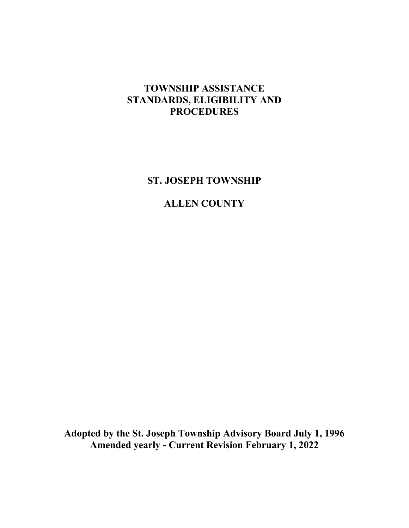# **TOWNSHIP ASSISTANCE STANDARDS, ELIGIBILITY AND PROCEDURES**

**ST. JOSEPH TOWNSHIP**

# **ALLEN COUNTY**

**Adopted by the St. Joseph Township Advisory Board July 1, 1996 Amended yearly - Current Revision February 1, 2022**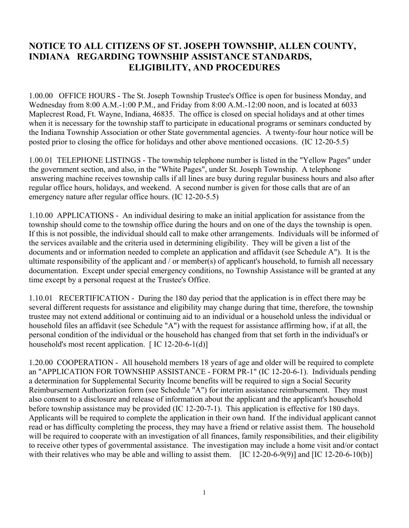## **NOTICE TO ALL CITIZENS OF ST. JOSEPH TOWNSHIP, ALLEN COUNTY, INDIANA REGARDING TOWNSHIP ASSISTANCE STANDARDS, ELIGIBILITY, AND PROCEDURES**

1.00.00 OFFICE HOURS - The St. Joseph Township Trustee's Office is open for business Monday, and Wednesday from 8:00 A.M.-1:00 P.M., and Friday from 8:00 A.M.-12:00 noon, and is located at 6033 Maplecrest Road, Ft. Wayne, Indiana, 46835. The office is closed on special holidays and at other times when it is necessary for the township staff to participate in educational programs or seminars conducted by the Indiana Township Association or other State governmental agencies. A twenty-four hour notice will be posted prior to closing the office for holidays and other above mentioned occasions. (IC 12-20-5.5)

1.00.01 TELEPHONE LISTINGS - The township telephone number is listed in the "Yellow Pages" under the government section, and also, in the "White Pages", under St. Joseph Township. A telephone answering machine receives township calls if all lines are busy during regular business hours and also after regular office hours, holidays, and weekend. A second number is given for those calls that are of an emergency nature after regular office hours. (IC 12-20-5.5)

1.10.00 APPLICATIONS - An individual desiring to make an initial application for assistance from the township should come to the township office during the hours and on one of the days the township is open. If this is not possible, the individual should call to make other arrangements. Individuals will be informed of the services available and the criteria used in determining eligibility. They will be given a list of the documents and or information needed to complete an application and affidavit (see Schedule A"). It is the ultimate responsibility of the applicant and / or member(s) of applicant's household, to furnish all necessary documentation. Except under special emergency conditions, no Township Assistance will be granted at any time except by a personal request at the Trustee's Office.

1.10.01 RECERTIFICATION - During the 180 day period that the application is in effect there may be several different requests for assistance and eligibility may change during that time, therefore, the township trustee may not extend additional or continuing aid to an individual or a household unless the individual or household files an affidavit (see Schedule "A") with the request for assistance affirming how, if at all, the personal condition of the individual or the household has changed from that set forth in the individual's or household's most recent application.  $[IC 12-20-6-1(d)]$ 

1.20.00 COOPERATION - All household members 18 years of age and older will be required to complete an "APPLICATION FOR TOWNSHIP ASSISTANCE - FORM PR-1" (IC 12-20-6-1). Individuals pending a determination for Supplemental Security Income benefits will be required to sign a Social Security Reimbursement Authorization form (see Schedule "A") for interim assistance reimbursement. They must also consent to a disclosure and release of information about the applicant and the applicant's household before township assistance may be provided (IC 12-20-7-1). This application is effective for 180 days. Applicants will be required to complete the application in their own hand. If the individual applicant cannot read or has difficulty completing the process, they may have a friend or relative assist them. The household will be required to cooperate with an investigation of all finances, family responsibilities, and their eligibility to receive other types of governmental assistance. The investigation may include a home visit and/or contact with their relatives who may be able and willing to assist them. [IC 12-20-6-9(9)] and [IC 12-20-6-10(b)]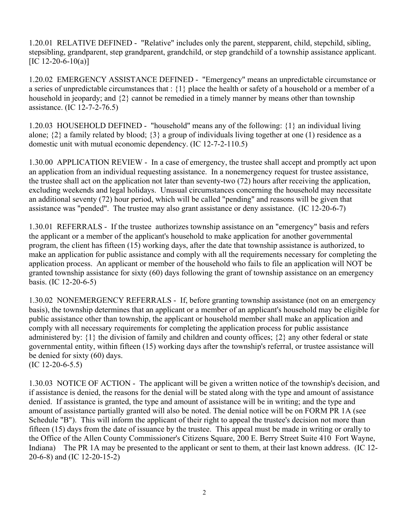1.20.01 RELATIVE DEFINED - "Relative" includes only the parent, stepparent, child, stepchild, sibling, stepsibling, grandparent, step grandparent, grandchild, or step grandchild of a township assistance applicant.  $[IC 12-20-6-10(a)]$ 

1.20.02 EMERGENCY ASSISTANCE DEFINED - "Emergency" means an unpredictable circumstance or a series of unpredictable circumstances that : {1} place the health or safety of a household or a member of a household in jeopardy; and {2} cannot be remedied in a timely manner by means other than township assistance. (IC 12-7-2-76.5)

1.20.03 HOUSEHOLD DEFINED - "household" means any of the following: {1} an individual living alone;  $\{2\}$  a family related by blood;  $\{3\}$  a group of individuals living together at one (1) residence as a domestic unit with mutual economic dependency. (IC 12-7-2-110.5)

1.30.00 APPLICATION REVIEW - In a case of emergency, the trustee shall accept and promptly act upon an application from an individual requesting assistance. In a nonemergency request for trustee assistance, the trustee shall act on the application not later than seventy-two (72) hours after receiving the application, excluding weekends and legal holidays. Unusual circumstances concerning the household may necessitate an additional seventy (72) hour period, which will be called "pending" and reasons will be given that assistance was "pended". The trustee may also grant assistance or deny assistance. (IC 12-20-6-7)

1.30.01 REFERRALS - If the trustee authorizes township assistance on an "emergency" basis and refers the applicant or a member of the applicant's household to make application for another governmental program, the client has fifteen (15) working days, after the date that township assistance is authorized, to make an application for public assistance and comply with all the requirements necessary for completing the application process. An applicant or member of the household who fails to file an application will NOT be granted township assistance for sixty (60) days following the grant of township assistance on an emergency basis. (IC 12-20-6-5)

1.30.02 NONEMERGENCY REFERRALS - If, before granting township assistance (not on an emergency basis), the township determines that an applicant or a member of an applicant's household may be eligible for public assistance other than township, the applicant or household member shall make an application and comply with all necessary requirements for completing the application process for public assistance administered by: {1} the division of family and children and county offices; {2} any other federal or state governmental entity, within fifteen (15) working days after the township's referral, or trustee assistance will be denied for sixty (60) days.

(IC 12-20-6-5.5)

1.30.03 NOTICE OF ACTION - The applicant will be given a written notice of the township's decision, and if assistance is denied, the reasons for the denial will be stated along with the type and amount of assistance denied. If assistance is granted, the type and amount of assistance will be in writing; and the type and amount of assistance partially granted will also be noted. The denial notice will be on FORM PR 1A (see Schedule "B"). This will inform the applicant of their right to appeal the trustee's decision not more than fifteen (15) days from the date of issuance by the trustee. This appeal must be made in writing or orally to the Office of the Allen County Commissioner's Citizens Square, 200 E. Berry Street Suite 410 Fort Wayne, Indiana) The PR 1A may be presented to the applicant or sent to them, at their last known address. (IC 12- 20-6-8) and (IC 12-20-15-2)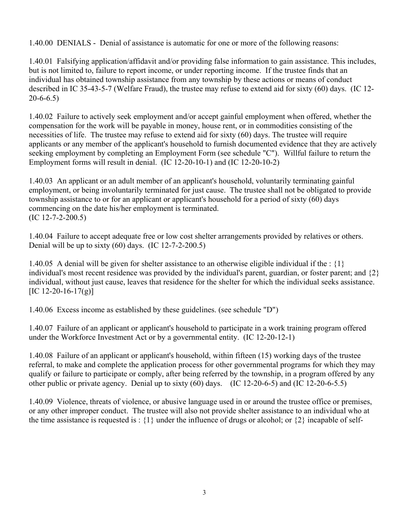1.40.00 DENIALS - Denial of assistance is automatic for one or more of the following reasons:

1.40.01 Falsifying application/affidavit and/or providing false information to gain assistance. This includes, but is not limited to, failure to report income, or under reporting income. If the trustee finds that an individual has obtained township assistance from any township by these actions or means of conduct described in IC 35-43-5-7 (Welfare Fraud), the trustee may refuse to extend aid for sixty (60) days. (IC 12-  $20 - 6 - 6.5$ 

1.40.02 Failure to actively seek employment and/or accept gainful employment when offered, whether the compensation for the work will be payable in money, house rent, or in commodities consisting of the necessities of life. The trustee may refuse to extend aid for sixty (60) days. The trustee will require applicants or any member of the applicant's household to furnish documented evidence that they are actively seeking employment by completing an Employment Form (see schedule "C"). Willful failure to return the Employment forms will result in denial. (IC 12-20-10-1) and (IC 12-20-10-2)

1.40.03 An applicant or an adult member of an applicant's household, voluntarily terminating gainful employment, or being involuntarily terminated for just cause. The trustee shall not be obligated to provide township assistance to or for an applicant or applicant's household for a period of sixty (60) days commencing on the date his/her employment is terminated. (IC 12-7-2-200.5)

1.40.04 Failure to accept adequate free or low cost shelter arrangements provided by relatives or others. Denial will be up to sixty  $(60)$  days.  $(IC 12-7-2-200.5)$ 

1.40.05 A denial will be given for shelter assistance to an otherwise eligible individual if the : {1} individual's most recent residence was provided by the individual's parent, guardian, or foster parent; and {2} individual, without just cause, leaves that residence for the shelter for which the individual seeks assistance.  $[IC 12-20-16-17(g)]$ 

1.40.06 Excess income as established by these guidelines. (see schedule "D")

1.40.07 Failure of an applicant or applicant's household to participate in a work training program offered under the Workforce Investment Act or by a governmental entity. (IC 12-20-12-1)

1.40.08 Failure of an applicant or applicant's household, within fifteen (15) working days of the trustee referral, to make and complete the application process for other governmental programs for which they may qualify or failure to participate or comply, after being referred by the township, in a program offered by any other public or private agency. Denial up to sixty (60) days. (IC 12-20-6-5) and (IC 12-20-6-5.5)

1.40.09 Violence, threats of violence, or abusive language used in or around the trustee office or premises, or any other improper conduct. The trustee will also not provide shelter assistance to an individual who at the time assistance is requested is :  $\{1\}$  under the influence of drugs or alcohol; or  $\{2\}$  incapable of self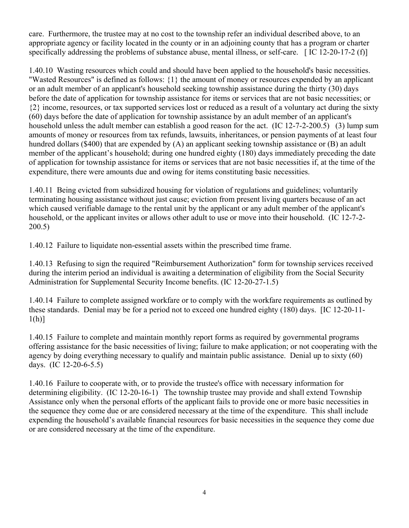care. Furthermore, the trustee may at no cost to the township refer an individual described above, to an appropriate agency or facility located in the county or in an adjoining county that has a program or charter specifically addressing the problems of substance abuse, mental illness, or self-care. [IC 12-20-17-2 (f)]

1.40.10 Wasting resources which could and should have been applied to the household's basic necessities. "Wasted Resources" is defined as follows: {1} the amount of money or resources expended by an applicant or an adult member of an applicant's household seeking township assistance during the thirty (30) days before the date of application for township assistance for items or services that are not basic necessities; or {2} income, resources, or tax supported services lost or reduced as a result of a voluntary act during the sixty (60) days before the date of application for township assistance by an adult member of an applicant's household unless the adult member can establish a good reason for the act. (IC 12-7-2-200.5) (3) lump sum amounts of money or resources from tax refunds, lawsuits, inheritances, or pension payments of at least four hundred dollars (\$400) that are expended by (A) an applicant seeking township assistance or (B) an adult member of the applicant's household; during one hundred eighty (180) days immediately preceding the date of application for township assistance for items or services that are not basic necessities if, at the time of the expenditure, there were amounts due and owing for items constituting basic necessities.

1.40.11 Being evicted from subsidized housing for violation of regulations and guidelines; voluntarily terminating housing assistance without just cause; eviction from present living quarters because of an act which caused verifiable damage to the rental unit by the applicant or any adult member of the applicant's household, or the applicant invites or allows other adult to use or move into their household. (IC 12-7-2- 200.5)

1.40.12 Failure to liquidate non-essential assets within the prescribed time frame.

1.40.13 Refusing to sign the required "Reimbursement Authorization" form for township services received during the interim period an individual is awaiting a determination of eligibility from the Social Security Administration for Supplemental Security Income benefits. (IC 12-20-27-1.5)

1.40.14 Failure to complete assigned workfare or to comply with the workfare requirements as outlined by these standards. Denial may be for a period not to exceed one hundred eighty (180) days. [IC 12-20-11-  $1(h)$ ]

1.40.15 Failure to complete and maintain monthly report forms as required by governmental programs offering assistance for the basic necessities of living; failure to make application; or not cooperating with the agency by doing everything necessary to qualify and maintain public assistance. Denial up to sixty (60) days. (IC 12-20-6-5.5)

1.40.16 Failure to cooperate with, or to provide the trustee's office with necessary information for determining eligibility. (IC 12-20-16-1) The township trustee may provide and shall extend Township Assistance only when the personal efforts of the applicant fails to provide one or more basic necessities in the sequence they come due or are considered necessary at the time of the expenditure. This shall include expending the household's available financial resources for basic necessities in the sequence they come due or are considered necessary at the time of the expenditure.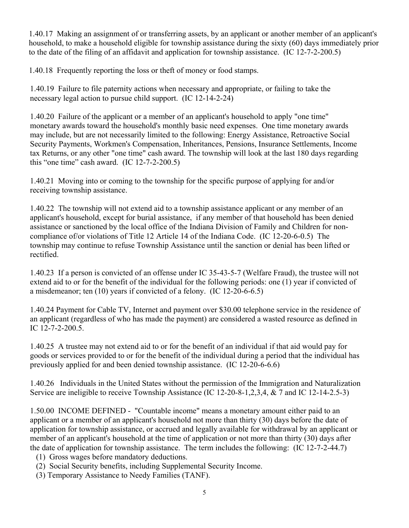1.40.17 Making an assignment of or transferring assets, by an applicant or another member of an applicant's household, to make a household eligible for township assistance during the sixty (60) days immediately prior to the date of the filing of an affidavit and application for township assistance. (IC 12-7-2-200.5)

1.40.18 Frequently reporting the loss or theft of money or food stamps.

1.40.19 Failure to file paternity actions when necessary and appropriate, or failing to take the necessary legal action to pursue child support. (IC 12-14-2-24)

1.40.20 Failure of the applicant or a member of an applicant's household to apply "one time" monetary awards toward the household's monthly basic need expenses. One time monetary awards may include, but are not necessarily limited to the following: Energy Assistance, Retroactive Social Security Payments, Workmen's Compensation, Inheritances, Pensions, Insurance Settlements, Income tax Returns, or any other "one time" cash award. The township will look at the last 180 days regarding this "one time" cash award.  $(IC 12-7-2-200.5)$ 

1.40.21 Moving into or coming to the township for the specific purpose of applying for and/or receiving township assistance.

1.40.22 The township will not extend aid to a township assistance applicant or any member of an applicant's household, except for burial assistance, if any member of that household has been denied assistance or sanctioned by the local office of the Indiana Division of Family and Children for noncompliance of/or violations of Title 12 Article 14 of the Indiana Code. (IC 12-20-6-0.5) The township may continue to refuse Township Assistance until the sanction or denial has been lifted or rectified.

1.40.23 If a person is convicted of an offense under IC 35-43-5-7 (Welfare Fraud), the trustee will not extend aid to or for the benefit of the individual for the following periods: one (1) year if convicted of a misdemeanor; ten (10) years if convicted of a felony. (IC 12-20-6-6.5)

1.40.24 Payment for Cable TV, Internet and payment over \$30.00 telephone service in the residence of an applicant (regardless of who has made the payment) are considered a wasted resource as defined in IC 12-7-2-200.5.

1.40.25 A trustee may not extend aid to or for the benefit of an individual if that aid would pay for goods or services provided to or for the benefit of the individual during a period that the individual has previously applied for and been denied township assistance. (IC 12-20-6-6.6)

1.40.26 Individuals in the United States without the permission of the Immigration and Naturalization Service are ineligible to receive Township Assistance (IC 12-20-8-1,2,3,4, & 7 and IC 12-14-2.5-3)

1.50.00 INCOME DEFINED - "Countable income" means a monetary amount either paid to an applicant or a member of an applicant's household not more than thirty (30) days before the date of application for township assistance, or accrued and legally available for withdrawal by an applicant or member of an applicant's household at the time of application or not more than thirty (30) days after the date of application for township assistance. The term includes the following: (IC 12-7-2-44.7)

- (1) Gross wages before mandatory deductions.
- (2) Social Security benefits, including Supplemental Security Income.
- (3) Temporary Assistance to Needy Families (TANF).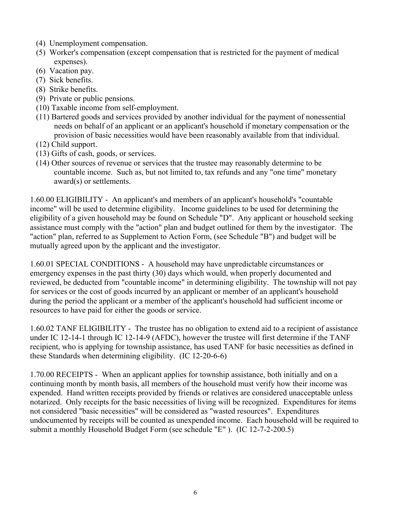- (4) Unemployment compensation.
- (5) Worker's compensation (except compensation that is restricted for the payment of medical expenses).
- (6) Vacation pay.
- (7) Sick benefits.
- (8) Strike benefits.
- (9) Private or public pensions.
- (10) Taxable income from self-employment.
- (11) Bartered goods and services provided by another individual for the payment of nonessential needs on behalf of an applicant or an applicant's household if monetary compensation or the provision of basic necessities would have been reasonably available from that individual.
- (12) Child support.
- (13) Gifts of cash, goods, or services.
- (14) Other sources of revenue or services that the trustee may reasonably determine to be countable income. Such as, but not limited to, tax refunds and any "one time" monetary award(s) or settlements.

1.60.00 ELIGIBILITY - An applicant's and members of an applicant's household's "countable income" will be used to determine eligibility. Income guidelines to be used for determining the eligibility of a given household may be found on Schedule "D". Any applicant or household seeking assistance must comply with the "action" plan and budget outlined for them by the investigator. The "action" plan, referred to as Supplement to Action Form, (see Schedule "B") and budget will be mutually agreed upon by the applicant and the investigator.

1.60.01 SPECIAL CONDITIONS - A household may have unpredictable circumstances or emergency expenses in the past thirty (30) days which would, when properly documented and reviewed, be deducted from "countable income" in determining eligibility. The township will not pay for services or the cost of goods incurred by an applicant or member of an applicant's household during the period the applicant or a member of the applicant's household had sufficient income or resources to have paid for either the goods or service.

1.60.02 TANF ELIGIBILITY - The trustee has no obligation to extend aid to a recipient of assistance under IC 12-14-1 through IC 12-14-9 (AFDC), however the trustee will first determine if the TANF recipient, who is applying for township assistance, has used TANF for basic necessities as defined in these Standards when determining eligibility. (IC 12-20-6-6)

1.70.00 RECEIPTS - When an applicant applies for township assistance, both initially and on a continuing month by month basis, all members of the household must verify how their income was expended. Hand written receipts provided by friends or relatives are considered unacceptable unless notarized. Only receipts for the basic necessities of living will be recognized. Expenditures for items not considered "basic necessities" will be considered as "wasted resources". Expenditures undocumented by receipts will be counted as unexpended income. Each household will be required to submit a monthly Household Budget Form (see schedule "E" ). (IC 12-7-2-200.5)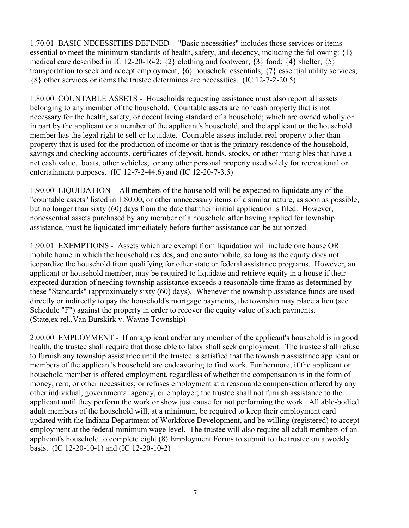1.70.01 BASIC NECESSITIES DEFINED - "Basic necessities" includes those services or items essential to meet the minimum standards of health, safety, and decency, including the following: {1} medical care described in IC 12-20-16-2;  $\{2\}$  clothing and footwear;  $\{3\}$  food;  $\{4\}$  shelter;  $\{5\}$ transportation to seek and accept employment; {6} household essentials; {7} essential utility services; {8} other services or items the trustee determines are necessities. (IC 12-7-2-20.5)

1.80.00 COUNTABLE ASSETS - Households requesting assistance must also report all assets belonging to any member of the household. Countable assets are noncash property that is not necessary for the health, safety, or decent living standard of a household; which are owned wholly or in part by the applicant or a member of the applicant's household, and the applicant or the household member has the legal right to sell or liquidate. Countable assets include; real property other than property that is used for the production of income or that is the primary residence of the household, savings and checking accounts, certificates of deposit, bonds, stocks, or other intangibles that have a net cash value, boats, other vehicles, or any other personal property used solely for recreational or entertainment purposes. (IC 12-7-2-44.6) and (IC 12-20-7-3.5)

1.90.00 LIQUIDATION - All members of the household will be expected to liquidate any of the "countable assets" listed in 1.80.00, or other unnecessary items of a similar nature, as soon as possible, but no longer than sixty (60) days from the date that their initial application is filed. However, nonessential assets purchased by any member of a household after having applied for township assistance, must be liquidated immediately before further assistance can be authorized.

1.90.01 EXEMPTIONS - Assets which are exempt from liquidation will include one house OR mobile home in which the household resides, and one automobile, so long as the equity does not jeopardize the household from qualifying for other state or federal assistance programs. However, an applicant or household member, may be required to liquidate and retrieve equity in a house if their expected duration of needing township assistance exceeds a reasonable time frame as determined by these "Standards" (approximately sixty (60) days). Whenever the township assistance funds are used directly or indirectly to pay the household's mortgage payments, the township may place a lien (see Schedule "F") against the property in order to recover the equity value of such payments. (State,ex rel.,Van Burskirk v. Wayne Township)

2.00.00 EMPLOYMENT - If an applicant and/or any member of the applicant's household is in good health, the trustee shall require that those able to labor shall seek employment. The trustee shall refuse to furnish any township assistance until the trustee is satisfied that the township assistance applicant or members of the applicant's household are endeavoring to find work. Furthermore, if the applicant or household member is offered employment, regardless of whether the compensation is in the form of money, rent, or other necessities; or refuses employment at a reasonable compensation offered by any other individual, governmental agency, or employer; the trustee shall not furnish assistance to the applicant until they perform the work or show just cause for not performing the work. All able-bodied adult members of the household will, at a minimum, be required to keep their employment card updated with the Indiana Department of Workforce Development, and be willing (registered) to accept employment at the federal minimum wage level. The trustee will also require all adult members of an applicant's household to complete eight (8) Employment Forms to submit to the trustee on a weekly basis. (IC 12-20-10-1) and (IC 12-20-10-2)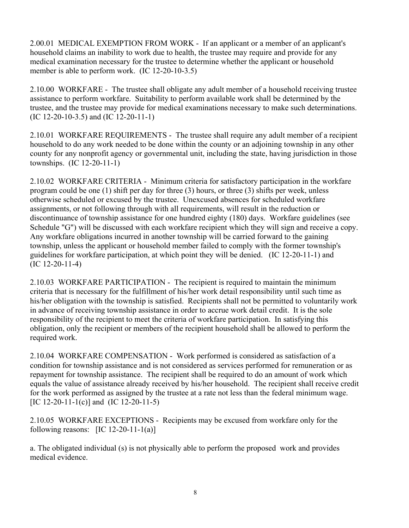2.00.01 MEDICAL EXEMPTION FROM WORK - If an applicant or a member of an applicant's household claims an inability to work due to health, the trustee may require and provide for any medical examination necessary for the trustee to determine whether the applicant or household member is able to perform work. (IC 12-20-10-3.5)

2.10.00 WORKFARE - The trustee shall obligate any adult member of a household receiving trustee assistance to perform workfare. Suitability to perform available work shall be determined by the trustee, and the trustee may provide for medical examinations necessary to make such determinations. (IC 12-20-10-3.5) and (IC 12-20-11-1)

2.10.01 WORKFARE REQUIREMENTS - The trustee shall require any adult member of a recipient household to do any work needed to be done within the county or an adjoining township in any other county for any nonprofit agency or governmental unit, including the state, having jurisdiction in those townships. (IC 12-20-11-1)

2.10.02 WORKFARE CRITERIA - Minimum criteria for satisfactory participation in the workfare program could be one (1) shift per day for three (3) hours, or three (3) shifts per week, unless otherwise scheduled or excused by the trustee. Unexcused absences for scheduled workfare assignments, or not following through with all requirements, will result in the reduction or discontinuance of township assistance for one hundred eighty (180) days. Workfare guidelines (see Schedule "G") will be discussed with each workfare recipient which they will sign and receive a copy. Any workfare obligations incurred in another township will be carried forward to the gaining township, unless the applicant or household member failed to comply with the former township's guidelines for workfare participation, at which point they will be denied. (IC 12-20-11-1) and (IC 12-20-11-4)

2.10.03 WORKFARE PARTICIPATION - The recipient is required to maintain the minimum criteria that is necessary for the fulfillment of his/her work detail responsibility until such time as his/her obligation with the township is satisfied. Recipients shall not be permitted to voluntarily work in advance of receiving township assistance in order to accrue work detail credit. It is the sole responsibility of the recipient to meet the criteria of workfare participation. In satisfying this obligation, only the recipient or members of the recipient household shall be allowed to perform the required work.

2.10.04 WORKFARE COMPENSATION - Work performed is considered as satisfaction of a condition for township assistance and is not considered as services performed for remuneration or as repayment for township assistance. The recipient shall be required to do an amount of work which equals the value of assistance already received by his/her household. The recipient shall receive credit for the work performed as assigned by the trustee at a rate not less than the federal minimum wage. [IC 12-20-11-1(c)] and (IC 12-20-11-5)

2.10.05 WORKFARE EXCEPTIONS - Recipients may be excused from workfare only for the following reasons:  $[IC 12-20-11-1(a)]$ 

a. The obligated individual (s) is not physically able to perform the proposed work and provides medical evidence.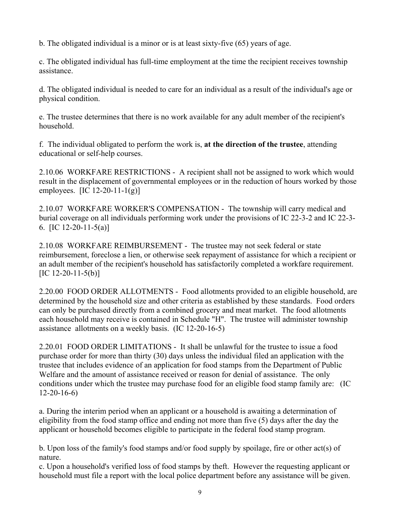b. The obligated individual is a minor or is at least sixty-five (65) years of age.

c. The obligated individual has full-time employment at the time the recipient receives township assistance.

d. The obligated individual is needed to care for an individual as a result of the individual's age or physical condition.

e. The trustee determines that there is no work available for any adult member of the recipient's household.

f. The individual obligated to perform the work is, **at the direction of the trustee**, attending educational or self-help courses.

2.10.06 WORKFARE RESTRICTIONS - A recipient shall not be assigned to work which would result in the displacement of governmental employees or in the reduction of hours worked by those employees. [IC 12-20-11-1(g)]

2.10.07 WORKFARE WORKER'S COMPENSATION - The township will carry medical and burial coverage on all individuals performing work under the provisions of IC 22-3-2 and IC 22-3- 6. [IC 12-20-11-5(a)]

2.10.08 WORKFARE REIMBURSEMENT - The trustee may not seek federal or state reimbursement, foreclose a lien, or otherwise seek repayment of assistance for which a recipient or an adult member of the recipient's household has satisfactorily completed a workfare requirement.  $[IC 12-20-11-5(b)]$ 

2.20.00 FOOD ORDER ALLOTMENTS - Food allotments provided to an eligible household, are determined by the household size and other criteria as established by these standards. Food orders can only be purchased directly from a combined grocery and meat market. The food allotments each household may receive is contained in Schedule "H". The trustee will administer township assistance allotments on a weekly basis. (IC 12-20-16-5)

2.20.01 FOOD ORDER LIMITATIONS - It shall be unlawful for the trustee to issue a food purchase order for more than thirty (30) days unless the individual filed an application with the trustee that includes evidence of an application for food stamps from the Department of Public Welfare and the amount of assistance received or reason for denial of assistance. The only conditions under which the trustee may purchase food for an eligible food stamp family are: (IC 12-20-16-6)

a. During the interim period when an applicant or a household is awaiting a determination of eligibility from the food stamp office and ending not more than five (5) days after the day the applicant or household becomes eligible to participate in the federal food stamp program.

b. Upon loss of the family's food stamps and/or food supply by spoilage, fire or other act(s) of nature.

c. Upon a household's verified loss of food stamps by theft. However the requesting applicant or household must file a report with the local police department before any assistance will be given.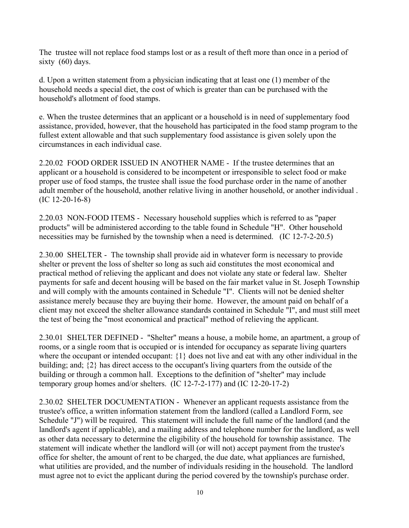The trustee will not replace food stamps lost or as a result of theft more than once in a period of sixty (60) days.

d. Upon a written statement from a physician indicating that at least one (1) member of the household needs a special diet, the cost of which is greater than can be purchased with the household's allotment of food stamps.

e. When the trustee determines that an applicant or a household is in need of supplementary food assistance, provided, however, that the household has participated in the food stamp program to the fullest extent allowable and that such supplementary food assistance is given solely upon the circumstances in each individual case.

2.20.02 FOOD ORDER ISSUED IN ANOTHER NAME - If the trustee determines that an applicant or a household is considered to be incompetent or irresponsible to select food or make proper use of food stamps, the trustee shall issue the food purchase order in the name of another adult member of the household, another relative living in another household, or another individual . (IC 12-20-16-8)

2.20.03 NON-FOOD ITEMS - Necessary household supplies which is referred to as "paper products" will be administered according to the table found in Schedule "H". Other household necessities may be furnished by the township when a need is determined. (IC 12-7-2-20.5)

2.30.00 SHELTER - The township shall provide aid in whatever form is necessary to provide shelter or prevent the loss of shelter so long as such aid constitutes the most economical and practical method of relieving the applicant and does not violate any state or federal law. Shelter payments for safe and decent housing will be based on the fair market value in St. Joseph Township and will comply with the amounts contained in Schedule "I". Clients will not be denied shelter assistance merely because they are buying their home. However, the amount paid on behalf of a client may not exceed the shelter allowance standards contained in Schedule "I", and must still meet the test of being the "most economical and practical" method of relieving the applicant.

2.30.01 SHELTER DEFINED - "Shelter" means a house, a mobile home, an apartment, a group of rooms, or a single room that is occupied or is intended for occupancy as separate living quarters where the occupant or intended occupant: {1} does not live and eat with any other individual in the building; and; {2} has direct access to the occupant's living quarters from the outside of the building or through a common hall. Exceptions to the definition of "shelter" may include temporary group homes and/or shelters. (IC 12-7-2-177) and (IC 12-20-17-2)

2.30.02 SHELTER DOCUMENTATION - Whenever an applicant requests assistance from the trustee's office, a written information statement from the landlord (called a Landlord Form, see Schedule "J") will be required. This statement will include the full name of the landlord (and the landlord's agent if applicable), and a mailing address and telephone number for the landlord, as well as other data necessary to determine the eligibility of the household for township assistance. The statement will indicate whether the landlord will (or will not) accept payment from the trustee's office for shelter, the amount of rent to be charged, the due date, what appliances are furnished, what utilities are provided, and the number of individuals residing in the household. The landlord must agree not to evict the applicant during the period covered by the township's purchase order.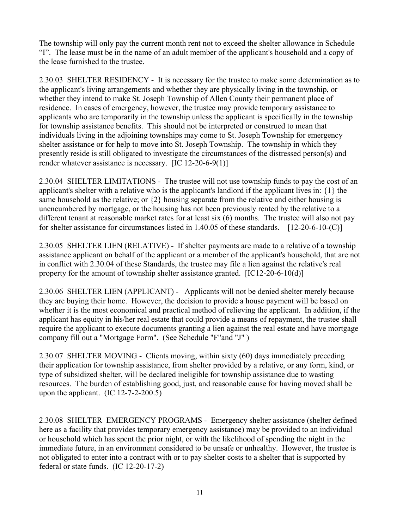The township will only pay the current month rent not to exceed the shelter allowance in Schedule "I". The lease must be in the name of an adult member of the applicant's household and a copy of the lease furnished to the trustee.

2.30.03 SHELTER RESIDENCY - It is necessary for the trustee to make some determination as to the applicant's living arrangements and whether they are physically living in the township, or whether they intend to make St. Joseph Township of Allen County their permanent place of residence. In cases of emergency, however, the trustee may provide temporary assistance to applicants who are temporarily in the township unless the applicant is specifically in the township for township assistance benefits. This should not be interpreted or construed to mean that individuals living in the adjoining townships may come to St. Joseph Township for emergency shelter assistance or for help to move into St. Joseph Township. The township in which they presently reside is still obligated to investigate the circumstances of the distressed person(s) and render whatever assistance is necessary. [IC 12-20-6-9(1)]

2.30.04 SHELTER LIMITATIONS - The trustee will not use township funds to pay the cost of an applicant's shelter with a relative who is the applicant's landlord if the applicant lives in: {1} the same household as the relative; or {2} housing separate from the relative and either housing is unencumbered by mortgage, or the housing has not been previously rented by the relative to a different tenant at reasonable market rates for at least six (6) months. The trustee will also not pay for shelter assistance for circumstances listed in  $1.40.05$  of these standards.  $[12-20-6-10-(C)]$ 

2.30.05 SHELTER LIEN (RELATIVE) - If shelter payments are made to a relative of a township assistance applicant on behalf of the applicant or a member of the applicant's household, that are not in conflict with 2.30.04 of these Standards, the trustee may file a lien against the relative's real property for the amount of township shelter assistance granted. [IC12-20-6-10(d)]

2.30.06 SHELTER LIEN (APPLICANT) - Applicants will not be denied shelter merely because they are buying their home. However, the decision to provide a house payment will be based on whether it is the most economical and practical method of relieving the applicant. In addition, if the applicant has equity in his/her real estate that could provide a means of repayment, the trustee shall require the applicant to execute documents granting a lien against the real estate and have mortgage company fill out a "Mortgage Form". (See Schedule "F"and "J" )

2.30.07 SHELTER MOVING - Clients moving, within sixty (60) days immediately preceding their application for township assistance, from shelter provided by a relative, or any form, kind, or type of subsidized shelter, will be declared ineligible for township assistance due to wasting resources. The burden of establishing good, just, and reasonable cause for having moved shall be upon the applicant.  $(IC 12-7-2-200.5)$ 

2.30.08 SHELTER EMERGENCY PROGRAMS - Emergency shelter assistance (shelter defined here as a facility that provides temporary emergency assistance) may be provided to an individual or household which has spent the prior night, or with the likelihood of spending the night in the immediate future, in an environment considered to be unsafe or unhealthy. However, the trustee is not obligated to enter into a contract with or to pay shelter costs to a shelter that is supported by federal or state funds. (IC 12-20-17-2)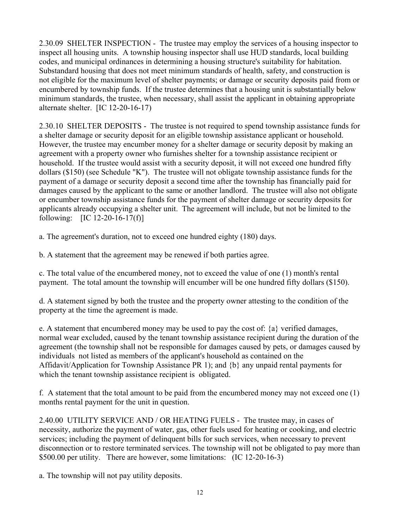2.30.09 SHELTER INSPECTION - The trustee may employ the services of a housing inspector to inspect all housing units. A township housing inspector shall use HUD standards, local building codes, and municipal ordinances in determining a housing structure's suitability for habitation. Substandard housing that does not meet minimum standards of health, safety, and construction is not eligible for the maximum level of shelter payments; or damage or security deposits paid from or encumbered by township funds. If the trustee determines that a housing unit is substantially below minimum standards, the trustee, when necessary, shall assist the applicant in obtaining appropriate alternate shelter. [IC 12-20-16-17)

2.30.10 SHELTER DEPOSITS - The trustee is not required to spend township assistance funds for a shelter damage or security deposit for an eligible township assistance applicant or household. However, the trustee may encumber money for a shelter damage or security deposit by making an agreement with a property owner who furnishes shelter for a township assistance recipient or household. If the trustee would assist with a security deposit, it will not exceed one hundred fifty dollars (\$150) (see Schedule "K"). The trustee will not obligate township assistance funds for the payment of a damage or security deposit a second time after the township has financially paid for damages caused by the applicant to the same or another landlord. The trustee will also not obligate or encumber township assistance funds for the payment of shelter damage or security deposits for applicants already occupying a shelter unit. The agreement will include, but not be limited to the following:  $[IC 12-20-16-17(f)]$ 

a. The agreement's duration, not to exceed one hundred eighty (180) days.

b. A statement that the agreement may be renewed if both parties agree.

c. The total value of the encumbered money, not to exceed the value of one (1) month's rental payment. The total amount the township will encumber will be one hundred fifty dollars (\$150).

d. A statement signed by both the trustee and the property owner attesting to the condition of the property at the time the agreement is made.

e. A statement that encumbered money may be used to pay the cost of:  $\{a\}$  verified damages, normal wear excluded, caused by the tenant township assistance recipient during the duration of the agreement (the township shall not be responsible for damages caused by pets, or damages caused by individuals not listed as members of the applicant's household as contained on the Affidavit/Application for Township Assistance PR 1); and {b} any unpaid rental payments for which the tenant township assistance recipient is obligated.

f. A statement that the total amount to be paid from the encumbered money may not exceed one (1) months rental payment for the unit in question.

2.40.00 UTILITY SERVICE AND / OR HEATING FUELS - The trustee may, in cases of necessity, authorize the payment of water, gas, other fuels used for heating or cooking, and electric services; including the payment of delinquent bills for such services, when necessary to prevent disconnection or to restore terminated services. The township will not be obligated to pay more than \$500.00 per utility. There are however, some limitations: (IC 12-20-16-3)

a. The township will not pay utility deposits.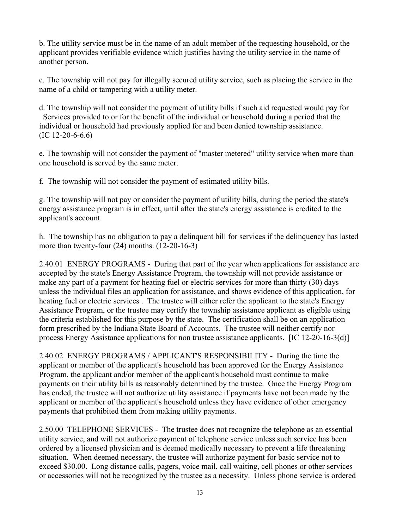b. The utility service must be in the name of an adult member of the requesting household, or the applicant provides verifiable evidence which justifies having the utility service in the name of another person.

c. The township will not pay for illegally secured utility service, such as placing the service in the name of a child or tampering with a utility meter.

d. The township will not consider the payment of utility bills if such aid requested would pay for Services provided to or for the benefit of the individual or household during a period that the individual or household had previously applied for and been denied township assistance. (IC 12-20-6-6.6)

e. The township will not consider the payment of "master metered" utility service when more than one household is served by the same meter.

f. The township will not consider the payment of estimated utility bills.

g. The township will not pay or consider the payment of utility bills, during the period the state's energy assistance program is in effect, until after the state's energy assistance is credited to the applicant's account.

h. The township has no obligation to pay a delinquent bill for services if the delinquency has lasted more than twenty-four (24) months. (12-20-16-3)

2.40.01 ENERGY PROGRAMS - During that part of the year when applications for assistance are accepted by the state's Energy Assistance Program, the township will not provide assistance or make any part of a payment for heating fuel or electric services for more than thirty (30) days unless the individual files an application for assistance, and shows evidence of this application, for heating fuel or electric services . The trustee will either refer the applicant to the state's Energy Assistance Program, or the trustee may certify the township assistance applicant as eligible using the criteria established for this purpose by the state. The certification shall be on an application form prescribed by the Indiana State Board of Accounts. The trustee will neither certify nor process Energy Assistance applications for non trustee assistance applicants. [IC 12-20-16-3(d)]

2.40.02 ENERGY PROGRAMS / APPLICANT'S RESPONSIBILITY - During the time the applicant or member of the applicant's household has been approved for the Energy Assistance Program, the applicant and/or member of the applicant's household must continue to make payments on their utility bills as reasonably determined by the trustee. Once the Energy Program has ended, the trustee will not authorize utility assistance if payments have not been made by the applicant or member of the applicant's household unless they have evidence of other emergency payments that prohibited them from making utility payments.

2.50.00 TELEPHONE SERVICES - The trustee does not recognize the telephone as an essential utility service, and will not authorize payment of telephone service unless such service has been ordered by a licensed physician and is deemed medically necessary to prevent a life threatening situation. When deemed necessary, the trustee will authorize payment for basic service not to exceed \$30.00. Long distance calls, pagers, voice mail, call waiting, cell phones or other services or accessories will not be recognized by the trustee as a necessity. Unless phone service is ordered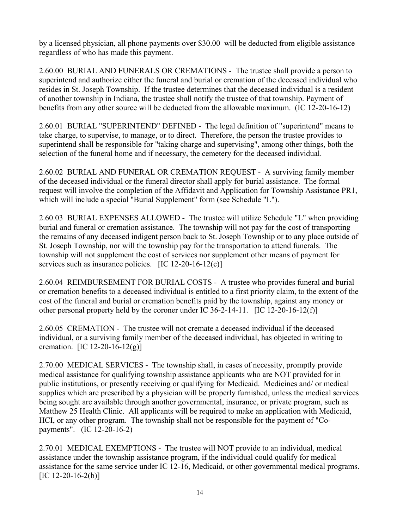by a licensed physician, all phone payments over \$30.00 will be deducted from eligible assistance regardless of who has made this payment.

2.60.00 BURIAL AND FUNERALS OR CREMATIONS - The trustee shall provide a person to superintend and authorize either the funeral and burial or cremation of the deceased individual who resides in St. Joseph Township. If the trustee determines that the deceased individual is a resident of another township in Indiana, the trustee shall notify the trustee of that township. Payment of benefits from any other source will be deducted from the allowable maximum. (IC 12-20-16-12)

2.60.01 BURIAL "SUPERINTEND" DEFINED - The legal definition of "superintend" means to take charge, to supervise, to manage, or to direct. Therefore, the person the trustee provides to superintend shall be responsible for "taking charge and supervising", among other things, both the selection of the funeral home and if necessary, the cemetery for the deceased individual.

2.60.02 BURIAL AND FUNERAL OR CREMATION REQUEST - A surviving family member of the deceased individual or the funeral director shall apply for burial assistance. The formal request will involve the completion of the Affidavit and Application for Township Assistance PR1, which will include a special "Burial Supplement" form (see Schedule "L").

2.60.03 BURIAL EXPENSES ALLOWED - The trustee will utilize Schedule "L" when providing burial and funeral or cremation assistance. The township will not pay for the cost of transporting the remains of any deceased indigent person back to St. Joseph Township or to any place outside of St. Joseph Township, nor will the township pay for the transportation to attend funerals. The township will not supplement the cost of services nor supplement other means of payment for services such as insurance policies. [IC 12-20-16-12(c)]

2.60.04 REIMBURSEMENT FOR BURIAL COSTS - A trustee who provides funeral and burial or cremation benefits to a deceased individual is entitled to a first priority claim, to the extent of the cost of the funeral and burial or cremation benefits paid by the township, against any money or other personal property held by the coroner under IC 36-2-14-11. [IC 12-20-16-12(f)]

2.60.05 CREMATION - The trustee will not cremate a deceased individual if the deceased individual, or a surviving family member of the deceased individual, has objected in writing to cremation. [IC 12-20-16-12(g)]

2.70.00 MEDICAL SERVICES - The township shall, in cases of necessity, promptly provide medical assistance for qualifying township assistance applicants who are NOT provided for in public institutions, or presently receiving or qualifying for Medicaid. Medicines and/ or medical supplies which are prescribed by a physician will be properly furnished, unless the medical services being sought are available through another governmental, insurance, or private program, such as Matthew 25 Health Clinic. All applicants will be required to make an application with Medicaid, HCI, or any other program. The township shall not be responsible for the payment of "Copayments". (IC 12-20-16-2)

2.70.01 MEDICAL EXEMPTIONS - The trustee will NOT provide to an individual, medical assistance under the township assistance program, if the individual could qualify for medical assistance for the same service under IC 12-16, Medicaid, or other governmental medical programs.  $[IC 12-20-16-2(b)]$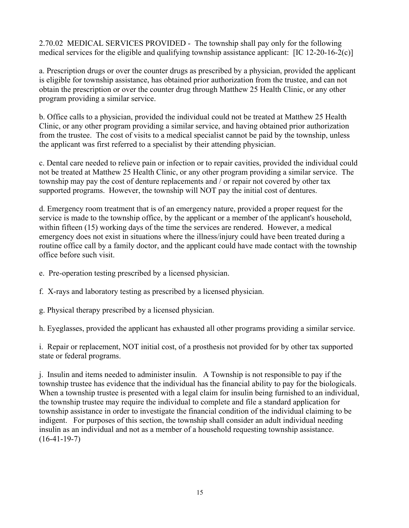2.70.02 MEDICAL SERVICES PROVIDED - The township shall pay only for the following medical services for the eligible and qualifying township assistance applicant: [IC 12-20-16-2(c)]

a. Prescription drugs or over the counter drugs as prescribed by a physician, provided the applicant is eligible for township assistance, has obtained prior authorization from the trustee, and can not obtain the prescription or over the counter drug through Matthew 25 Health Clinic, or any other program providing a similar service.

b. Office calls to a physician, provided the individual could not be treated at Matthew 25 Health Clinic, or any other program providing a similar service, and having obtained prior authorization from the trustee. The cost of visits to a medical specialist cannot be paid by the township, unless the applicant was first referred to a specialist by their attending physician.

c. Dental care needed to relieve pain or infection or to repair cavities, provided the individual could not be treated at Matthew 25 Health Clinic, or any other program providing a similar service. The township may pay the cost of denture replacements and / or repair not covered by other tax supported programs. However, the township will NOT pay the initial cost of dentures.

d. Emergency room treatment that is of an emergency nature, provided a proper request for the service is made to the township office, by the applicant or a member of the applicant's household, within fifteen (15) working days of the time the services are rendered. However, a medical emergency does not exist in situations where the illness/injury could have been treated during a routine office call by a family doctor, and the applicant could have made contact with the township office before such visit.

- e. Pre-operation testing prescribed by a licensed physician.
- f. X-rays and laboratory testing as prescribed by a licensed physician.
- g. Physical therapy prescribed by a licensed physician.

h. Eyeglasses, provided the applicant has exhausted all other programs providing a similar service.

i. Repair or replacement, NOT initial cost, of a prosthesis not provided for by other tax supported state or federal programs.

j. Insulin and items needed to administer insulin. A Township is not responsible to pay if the township trustee has evidence that the individual has the financial ability to pay for the biologicals. When a township trustee is presented with a legal claim for insulin being furnished to an individual, the township trustee may require the individual to complete and file a standard application for township assistance in order to investigate the financial condition of the individual claiming to be indigent. For purposes of this section, the township shall consider an adult individual needing insulin as an individual and not as a member of a household requesting township assistance.  $(16-41-19-7)$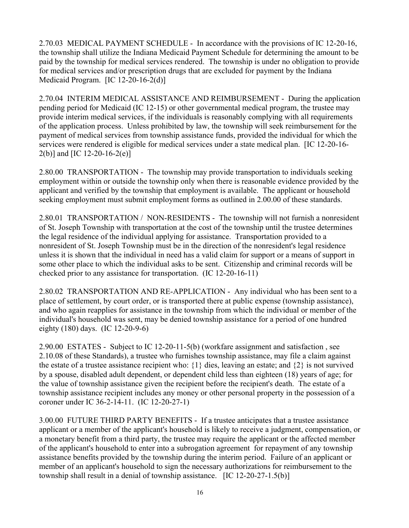2.70.03 MEDICAL PAYMENT SCHEDULE - In accordance with the provisions of IC 12-20-16, the township shall utilize the Indiana Medicaid Payment Schedule for determining the amount to be paid by the township for medical services rendered. The township is under no obligation to provide for medical services and/or prescription drugs that are excluded for payment by the Indiana Medicaid Program. [IC 12-20-16-2(d)]

2.70.04 INTERIM MEDICAL ASSISTANCE AND REIMBURSEMENT - During the application pending period for Medicaid (IC 12-15) or other governmental medical program, the trustee may provide interim medical services, if the individuals is reasonably complying with all requirements of the application process. Unless prohibited by law, the township will seek reimbursement for the payment of medical services from township assistance funds, provided the individual for which the services were rendered is eligible for medical services under a state medical plan. [IC 12-20-16- 2(b)] and [IC 12-20-16-2(e)]

2.80.00 TRANSPORTATION - The township may provide transportation to individuals seeking employment within or outside the township only when there is reasonable evidence provided by the applicant and verified by the township that employment is available. The applicant or household seeking employment must submit employment forms as outlined in 2.00.00 of these standards.

2.80.01 TRANSPORTATION / NON-RESIDENTS - The township will not furnish a nonresident of St. Joseph Township with transportation at the cost of the township until the trustee determines the legal residence of the individual applying for assistance. Transportation provided to a nonresident of St. Joseph Township must be in the direction of the nonresident's legal residence unless it is shown that the individual in need has a valid claim for support or a means of support in some other place to which the individual asks to be sent. Citizenship and criminal records will be checked prior to any assistance for transportation. (IC 12-20-16-11)

2.80.02 TRANSPORTATION AND RE-APPLICATION - Any individual who has been sent to a place of settlement, by court order, or is transported there at public expense (township assistance), and who again reapplies for assistance in the township from which the individual or member of the individual's household was sent, may be denied township assistance for a period of one hundred eighty (180) days. (IC 12-20-9-6)

2.90.00 ESTATES - Subject to IC 12-20-11-5(b) (workfare assignment and satisfaction , see 2.10.08 of these Standards), a trustee who furnishes township assistance, may file a claim against the estate of a trustee assistance recipient who: {1} dies, leaving an estate; and {2} is not survived by a spouse, disabled adult dependent, or dependent child less than eighteen (18) years of age; for the value of township assistance given the recipient before the recipient's death. The estate of a township assistance recipient includes any money or other personal property in the possession of a coroner under IC 36-2-14-11. (IC 12-20-27-1)

3.00.00 FUTURE THIRD PARTY BENEFITS - If a trustee anticipates that a trustee assistance applicant or a member of the applicant's household is likely to receive a judgment, compensation, or a monetary benefit from a third party, the trustee may require the applicant or the affected member of the applicant's household to enter into a subrogation agreement for repayment of any township assistance benefits provided by the township during the interim period. Failure of an applicant or member of an applicant's household to sign the necessary authorizations for reimbursement to the township shall result in a denial of township assistance. [IC 12-20-27-1.5(b)]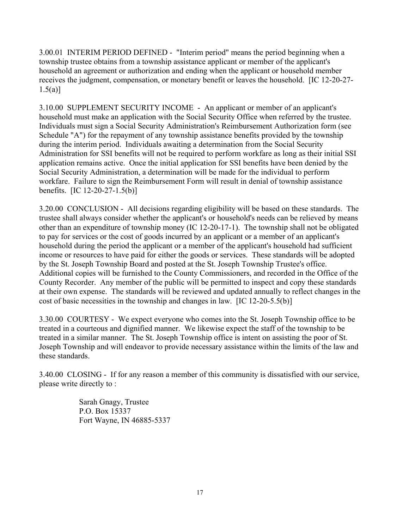3.00.01 INTERIM PERIOD DEFINED - "Interim period" means the period beginning when a township trustee obtains from a township assistance applicant or member of the applicant's household an agreement or authorization and ending when the applicant or household member receives the judgment, compensation, or monetary benefit or leaves the household. [IC 12-20-27-  $1.5(a)$ ]

3.10.00 SUPPLEMENT SECURITY INCOME - An applicant or member of an applicant's household must make an application with the Social Security Office when referred by the trustee. Individuals must sign a Social Security Administration's Reimbursement Authorization form (see Schedule "A") for the repayment of any township assistance benefits provided by the township during the interim period. Individuals awaiting a determination from the Social Security Administration for SSI benefits will not be required to perform workfare as long as their initial SSI application remains active. Once the initial application for SSI benefits have been denied by the Social Security Administration, a determination will be made for the individual to perform workfare. Failure to sign the Reimbursement Form will result in denial of township assistance benefits. [IC 12-20-27-1.5(b)]

3.20.00 CONCLUSION - All decisions regarding eligibility will be based on these standards. The trustee shall always consider whether the applicant's or household's needs can be relieved by means other than an expenditure of township money (IC 12-20-17-1). The township shall not be obligated to pay for services or the cost of goods incurred by an applicant or a member of an applicant's household during the period the applicant or a member of the applicant's household had sufficient income or resources to have paid for either the goods or services. These standards will be adopted by the St. Joseph Township Board and posted at the St. Joseph Township Trustee's office. Additional copies will be furnished to the County Commissioners, and recorded in the Office of the County Recorder. Any member of the public will be permitted to inspect and copy these standards at their own expense. The standards will be reviewed and updated annually to reflect changes in the cost of basic necessities in the township and changes in law. [IC 12-20-5.5(b)]

3.30.00 COURTESY - We expect everyone who comes into the St. Joseph Township office to be treated in a courteous and dignified manner. We likewise expect the staff of the township to be treated in a similar manner. The St. Joseph Township office is intent on assisting the poor of St. Joseph Township and will endeavor to provide necessary assistance within the limits of the law and these standards.

3.40.00 CLOSING - If for any reason a member of this community is dissatisfied with our service, please write directly to :

> Sarah Gnagy, Trustee P.O. Box 15337 Fort Wayne, IN 46885-5337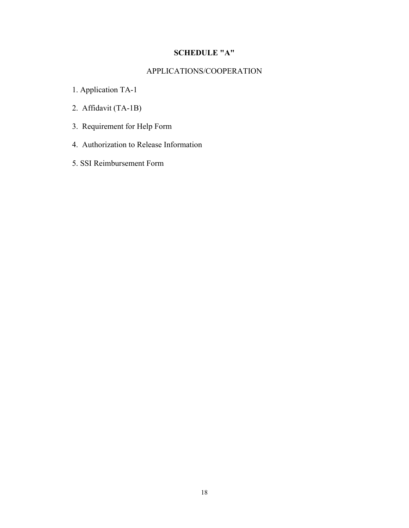#### **SCHEDULE "A"**

#### APPLICATIONS/COOPERATION

- 1. Application TA-1
- 2. Affidavit (TA-1B)
- 3. Requirement for Help Form
- 4. Authorization to Release Information
- 5. SSI Reimbursement Form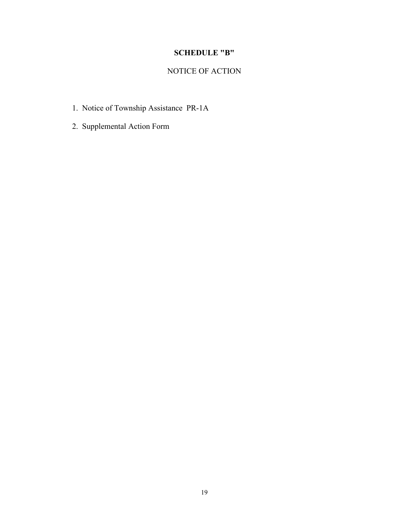#### **SCHEDULE "B"**

## NOTICE OF ACTION

- 1. Notice of Township Assistance PR-1A
- 2. Supplemental Action Form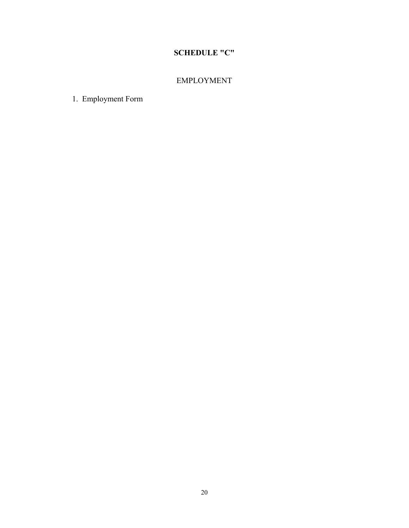## **SCHEDULE "C"**

### EMPLOYMENT

1. Employment Form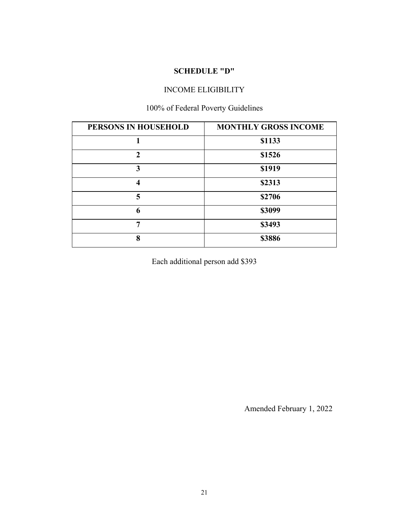#### **SCHEDULE "D"**

#### INCOME ELIGIBILITY

# 100% of Federal Poverty Guidelines

| PERSONS IN HOUSEHOLD | <b>MONTHLY GROSS INCOME</b> |  |
|----------------------|-----------------------------|--|
| 1                    | \$1133                      |  |
| $\mathfrak{D}$       | \$1526                      |  |
| 3                    | \$1919                      |  |
| 4                    | \$2313                      |  |
| 5                    | \$2706                      |  |
| 6                    | \$3099                      |  |
|                      | \$3493                      |  |
| 8                    | \$3886                      |  |

Each additional person add \$393

Amended February 1, 2022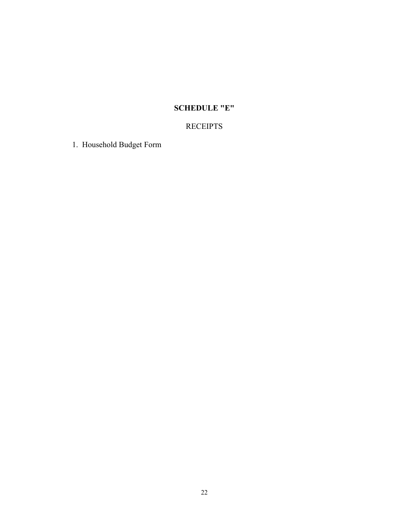## **SCHEDULE "E"**

## RECEIPTS

1. Household Budget Form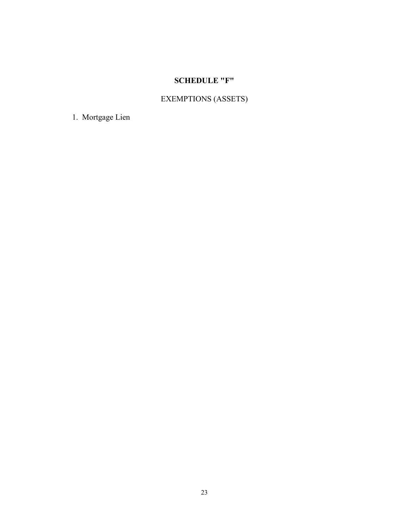# **SCHEDULE "F"**

# EXEMPTIONS (ASSETS)

1. Mortgage Lien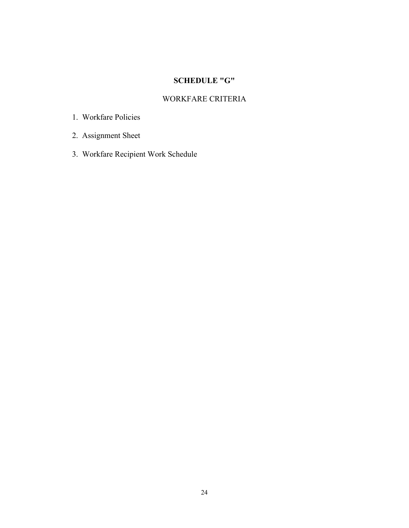## **SCHEDULE "G"**

#### WORKFARE CRITERIA

- 1. Workfare Policies
- 2. Assignment Sheet
- 3. Workfare Recipient Work Schedule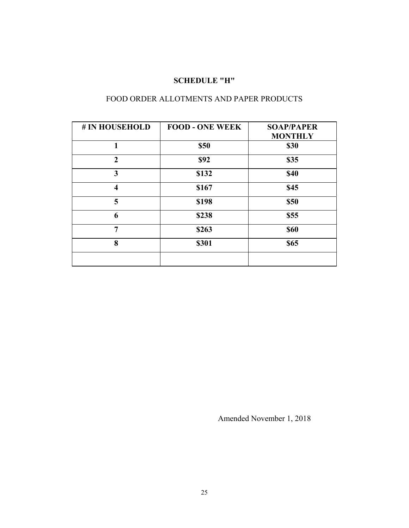#### **SCHEDULE "H"**

#### FOOD ORDER ALLOTMENTS AND PAPER PRODUCTS

| # IN HOUSEHOLD          | <b>FOOD - ONE WEEK</b> | <b>SOAP/PAPER</b><br><b>MONTHLY</b> |
|-------------------------|------------------------|-------------------------------------|
| 1                       | \$50                   | <b>\$30</b>                         |
| $\overline{2}$          | \$92                   | \$35                                |
| 3                       | \$132                  | <b>\$40</b>                         |
| $\overline{\mathbf{4}}$ | \$167                  | \$45                                |
| 5                       | \$198                  | <b>\$50</b>                         |
| 6                       | \$238                  | \$55                                |
| 7                       | \$263                  | <b>\$60</b>                         |
| 8                       | \$301                  | <b>\$65</b>                         |
|                         |                        |                                     |

Amended November 1, 2018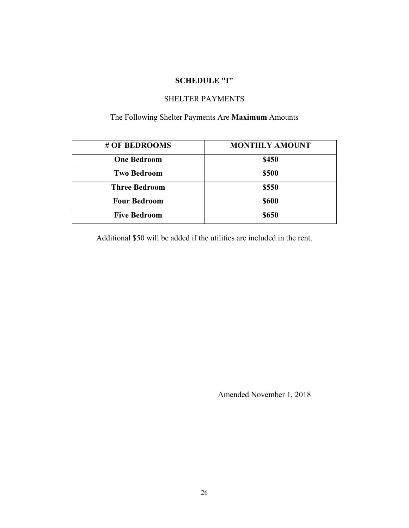#### **SCHEDULE "I"**

#### SHELTER PAYMENTS

#### The Following Shelter Payments Are **Maximum** Amounts

| # OF BEDROOMS        | <b>MONTHLY AMOUNT</b> |
|----------------------|-----------------------|
| <b>One Bedroom</b>   | \$450                 |
| <b>Two Bedroom</b>   | \$500                 |
| <b>Three Bedroom</b> | \$550                 |
| <b>Four Bedroom</b>  | <b>\$600</b>          |
| <b>Five Bedroom</b>  | <b>\$650</b>          |

Additional \$50 will be added if the utilities are included in the rent.

Amended November 1, 2018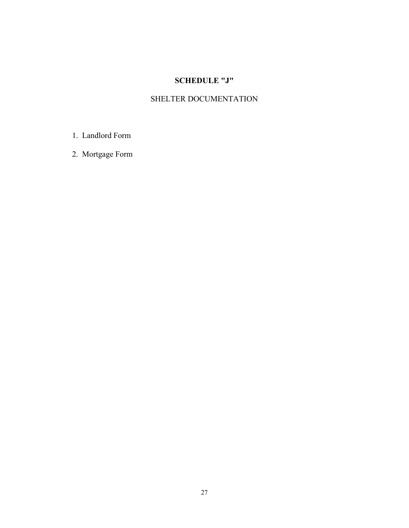## **SCHEDULE "J"**

## SHELTER DOCUMENTATION

- 1. Landlord Form
- 2. Mortgage Form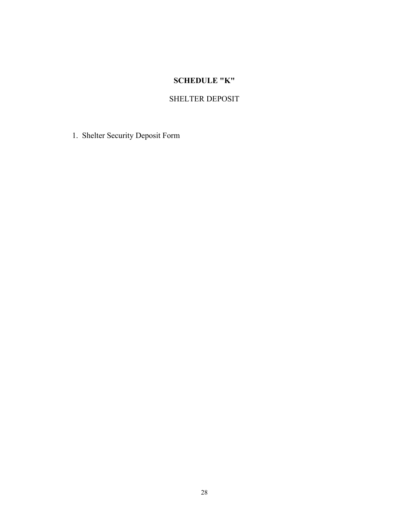## **SCHEDULE "K"**

### SHELTER DEPOSIT

1. Shelter Security Deposit Form